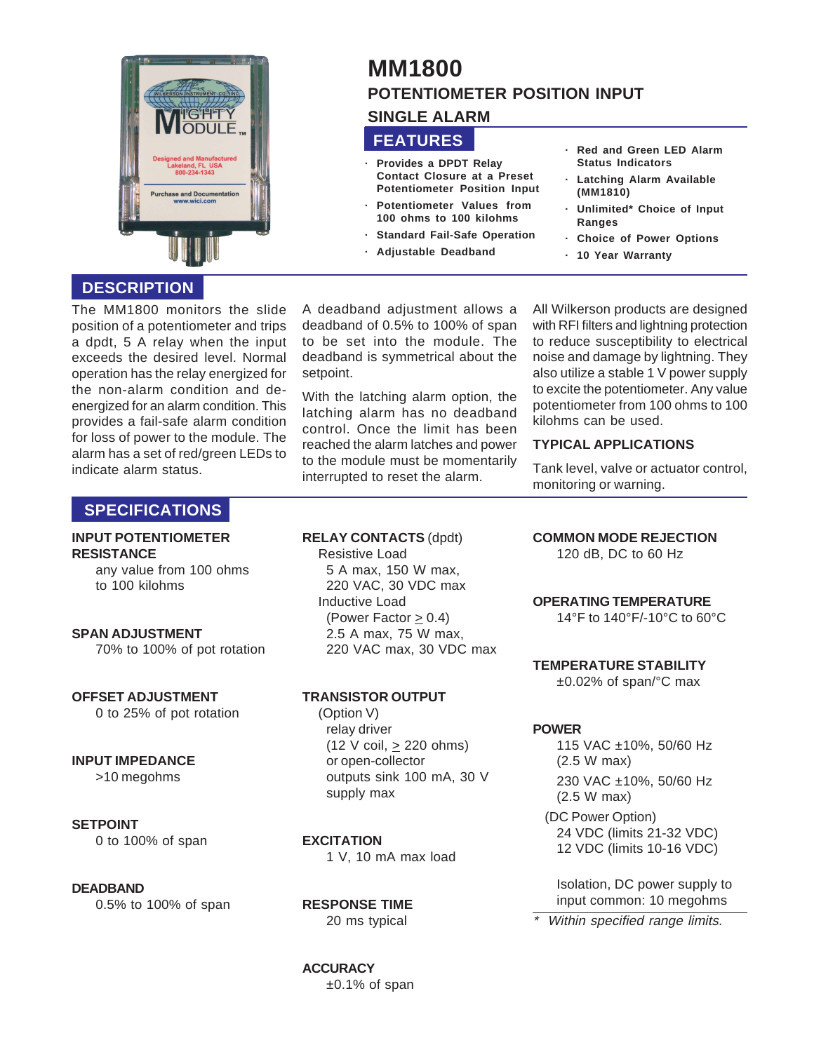

# **MM1800 POTENTIOMETER POSITION INPUT**

## **SINGLE ALARM**

## **FEATURES**

- **· Provides a DPDT Relay Contact Closure at a Preset Potentiometer Position Input**
- **· Potentiometer Values from 100 ohms to 100 kilohms**
- **Standard Fail-Safe Operation**
- **· Adjustable Deadband**

#### **· Red and Green LED Alarm Status Indicators**

- **· Latching Alarm Available (MM1810)**
- **· Unlimited\* Choice of Input Ranges**
- **· Choice of Power Options**
- **· 10 Year Warranty**

## **DESCRIPTION**

The MM1800 monitors the slide position of a potentiometer and trips a dpdt, 5 A relay when the input exceeds the desired level. Normal operation has the relay energized for the non-alarm condition and deenergized for an alarm condition. This provides a fail-safe alarm condition for loss of power to the module. The alarm has a set of red/green LEDs to indicate alarm status.

A deadband adjustment allows a deadband of 0.5% to 100% of span to be set into the module. The deadband is symmetrical about the setpoint.

With the latching alarm option, the latching alarm has no deadband control. Once the limit has been reached the alarm latches and power to the module must be momentarily interrupted to reset the alarm.

All Wilkerson products are designed with RFI filters and lightning protection to reduce susceptibility to electrical noise and damage by lightning. They also utilize a stable 1 V power supply to excite the potentiometer. Any value potentiometer from 100 ohms to 100 kilohms can be used.

### **TYPICAL APPLICATIONS**

Tank level, valve or actuator control, monitoring or warning.

## **SPECIFICATIONS**

#### **INPUT POTENTIOMETER RESISTANCE**

any value from 100 ohms to 100 kilohms

### **SPAN ADJUSTMENT**

70% to 100% of pot rotation

### **OFFSET ADJUSTMENT**

0 to 25% of pot rotation

### **INPUT IMPEDANCE**

>10 megohms

### **SETPOINT**

0 to 100% of span

### **DEADBAND**

0.5% to 100% of span

**RELAY CONTACTS** (dpdt)

Resistive Load 5 A max, 150 W max, 220 VAC, 30 VDC max Inductive Load (Power Factor  $\geq$  0.4) 2.5 A max, 75 W max, 220 VAC max, 30 VDC max

### **TRANSISTOR OUTPUT**

(Option V) relay driver  $(12 \text{ V coil}, \geq 220 \text{ ohms})$ or open-collector outputs sink 100 mA, 30 V supply max

### **EXCITATION**

1 V, 10 mA max load

**RESPONSE TIME** 20 ms typical

## **COMMON MODE REJECTION**

120 dB, DC to 60 Hz

### **OPERATING TEMPERATURE**

14°F to 140°F/-10°C to 60°C

### **TEMPERATURE STABILITY**

±0.02% of span/°C max

### **POWER**

115 VAC ±10%, 50/60 Hz (2.5 W max) 230 VAC ±10%, 50/60 Hz (2.5 W max) (DC Power Option) 24 VDC (limits 21-32 VDC) 12 VDC (limits 10-16 VDC)

Isolation, DC power supply to input common: 10 megohms

Within specified range limits.

**ACCURACY** ±0.1% of span